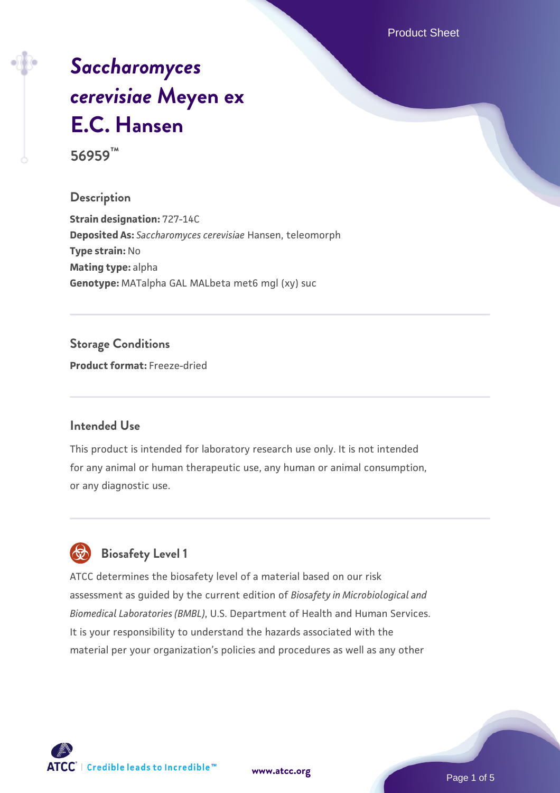Product Sheet

# *[Saccharomyces](https://www.atcc.org/products/56959) [cerevisiae](https://www.atcc.org/products/56959)* **[Meyen ex](https://www.atcc.org/products/56959) [E.C. Hansen](https://www.atcc.org/products/56959)**

**56959™**

#### **Description**

**Strain designation:** 727-14C **Deposited As:** *Saccharomyces cerevisiae* Hansen, teleomorph **Type strain:** No **Mating type:** alpha **Genotype:** MATalpha GAL MALbeta met6 mgl (xy) suc

#### **Storage Conditions**

**Product format:** Freeze-dried

#### **Intended Use**

This product is intended for laboratory research use only. It is not intended for any animal or human therapeutic use, any human or animal consumption, or any diagnostic use.



### **Biosafety Level 1**

ATCC determines the biosafety level of a material based on our risk assessment as guided by the current edition of *Biosafety in Microbiological and Biomedical Laboratories (BMBL)*, U.S. Department of Health and Human Services. It is your responsibility to understand the hazards associated with the material per your organization's policies and procedures as well as any other

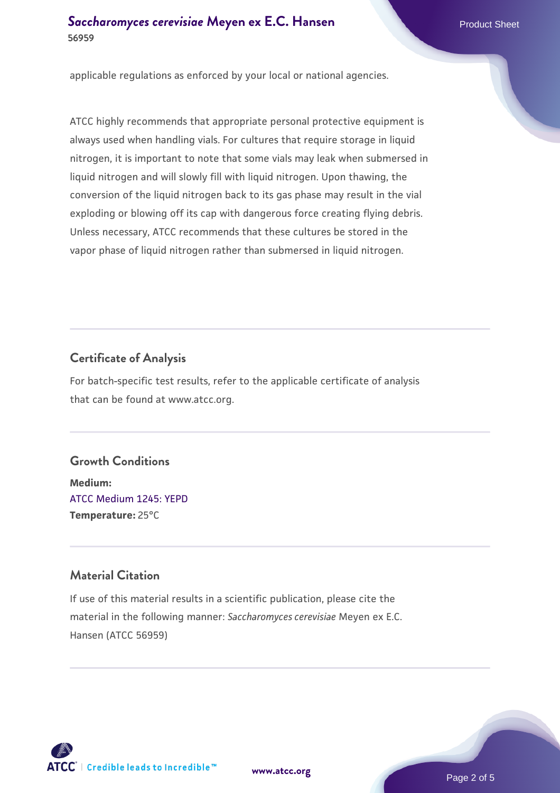#### **[Saccharomyces cerevisiae](https://www.atcc.org/products/56959)** [Meyen ex E.C. Hansen](https://www.atcc.org/products/56959) **56959**

applicable regulations as enforced by your local or national agencies.

ATCC highly recommends that appropriate personal protective equipment is always used when handling vials. For cultures that require storage in liquid nitrogen, it is important to note that some vials may leak when submersed in liquid nitrogen and will slowly fill with liquid nitrogen. Upon thawing, the conversion of the liquid nitrogen back to its gas phase may result in the vial exploding or blowing off its cap with dangerous force creating flying debris. Unless necessary, ATCC recommends that these cultures be stored in the vapor phase of liquid nitrogen rather than submersed in liquid nitrogen.

#### **Certificate of Analysis**

For batch-specific test results, refer to the applicable certificate of analysis that can be found at www.atcc.org.

#### **Growth Conditions**

**Medium:**  [ATCC Medium 1245: YEPD](https://www.atcc.org/-/media/product-assets/documents/microbial-media-formulations/1/2/4/5/atcc-medium-1245.pdf?rev=705ca55d1b6f490a808a965d5c072196) **Temperature:** 25°C

#### **Material Citation**

If use of this material results in a scientific publication, please cite the material in the following manner: *Saccharomyces cerevisiae* Meyen ex E.C. Hansen (ATCC 56959)



**[www.atcc.org](http://www.atcc.org)**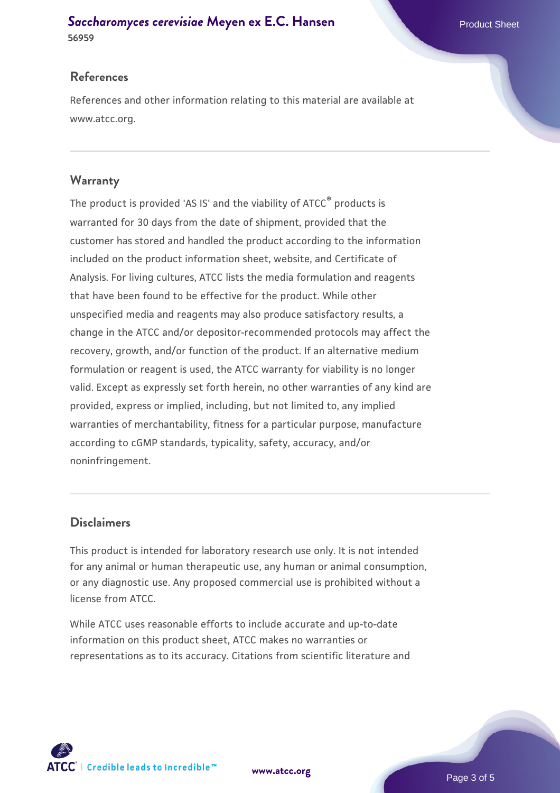#### **[Saccharomyces cerevisiae](https://www.atcc.org/products/56959)** [Meyen ex E.C. Hansen](https://www.atcc.org/products/56959) **56959**

#### **References**

References and other information relating to this material are available at www.atcc.org.

#### **Warranty**

The product is provided 'AS IS' and the viability of ATCC® products is warranted for 30 days from the date of shipment, provided that the customer has stored and handled the product according to the information included on the product information sheet, website, and Certificate of Analysis. For living cultures, ATCC lists the media formulation and reagents that have been found to be effective for the product. While other unspecified media and reagents may also produce satisfactory results, a change in the ATCC and/or depositor-recommended protocols may affect the recovery, growth, and/or function of the product. If an alternative medium formulation or reagent is used, the ATCC warranty for viability is no longer valid. Except as expressly set forth herein, no other warranties of any kind are provided, express or implied, including, but not limited to, any implied warranties of merchantability, fitness for a particular purpose, manufacture according to cGMP standards, typicality, safety, accuracy, and/or noninfringement.

#### **Disclaimers**

This product is intended for laboratory research use only. It is not intended for any animal or human therapeutic use, any human or animal consumption, or any diagnostic use. Any proposed commercial use is prohibited without a license from ATCC.

While ATCC uses reasonable efforts to include accurate and up-to-date information on this product sheet, ATCC makes no warranties or representations as to its accuracy. Citations from scientific literature and



**[www.atcc.org](http://www.atcc.org)**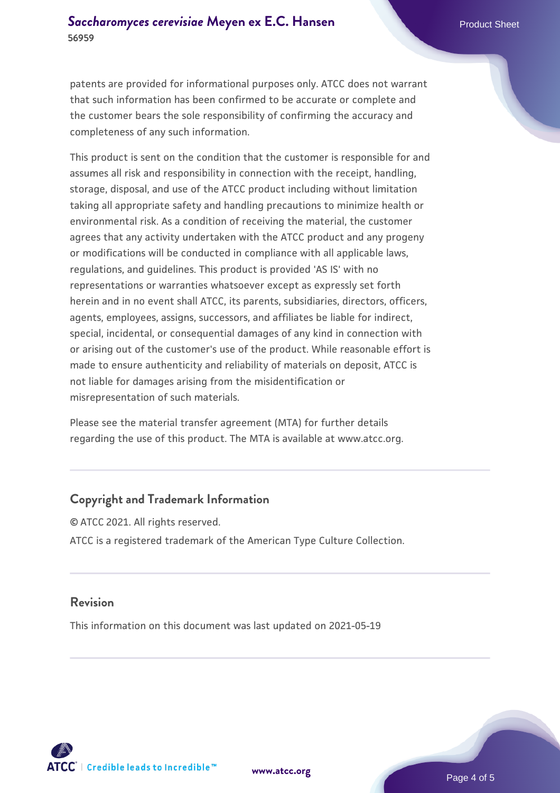patents are provided for informational purposes only. ATCC does not warrant that such information has been confirmed to be accurate or complete and the customer bears the sole responsibility of confirming the accuracy and completeness of any such information.

This product is sent on the condition that the customer is responsible for and assumes all risk and responsibility in connection with the receipt, handling, storage, disposal, and use of the ATCC product including without limitation taking all appropriate safety and handling precautions to minimize health or environmental risk. As a condition of receiving the material, the customer agrees that any activity undertaken with the ATCC product and any progeny or modifications will be conducted in compliance with all applicable laws, regulations, and guidelines. This product is provided 'AS IS' with no representations or warranties whatsoever except as expressly set forth herein and in no event shall ATCC, its parents, subsidiaries, directors, officers, agents, employees, assigns, successors, and affiliates be liable for indirect, special, incidental, or consequential damages of any kind in connection with or arising out of the customer's use of the product. While reasonable effort is made to ensure authenticity and reliability of materials on deposit, ATCC is not liable for damages arising from the misidentification or misrepresentation of such materials.

Please see the material transfer agreement (MTA) for further details regarding the use of this product. The MTA is available at www.atcc.org.

#### **Copyright and Trademark Information**

© ATCC 2021. All rights reserved. ATCC is a registered trademark of the American Type Culture Collection.

#### **Revision**

This information on this document was last updated on 2021-05-19



**[www.atcc.org](http://www.atcc.org)**